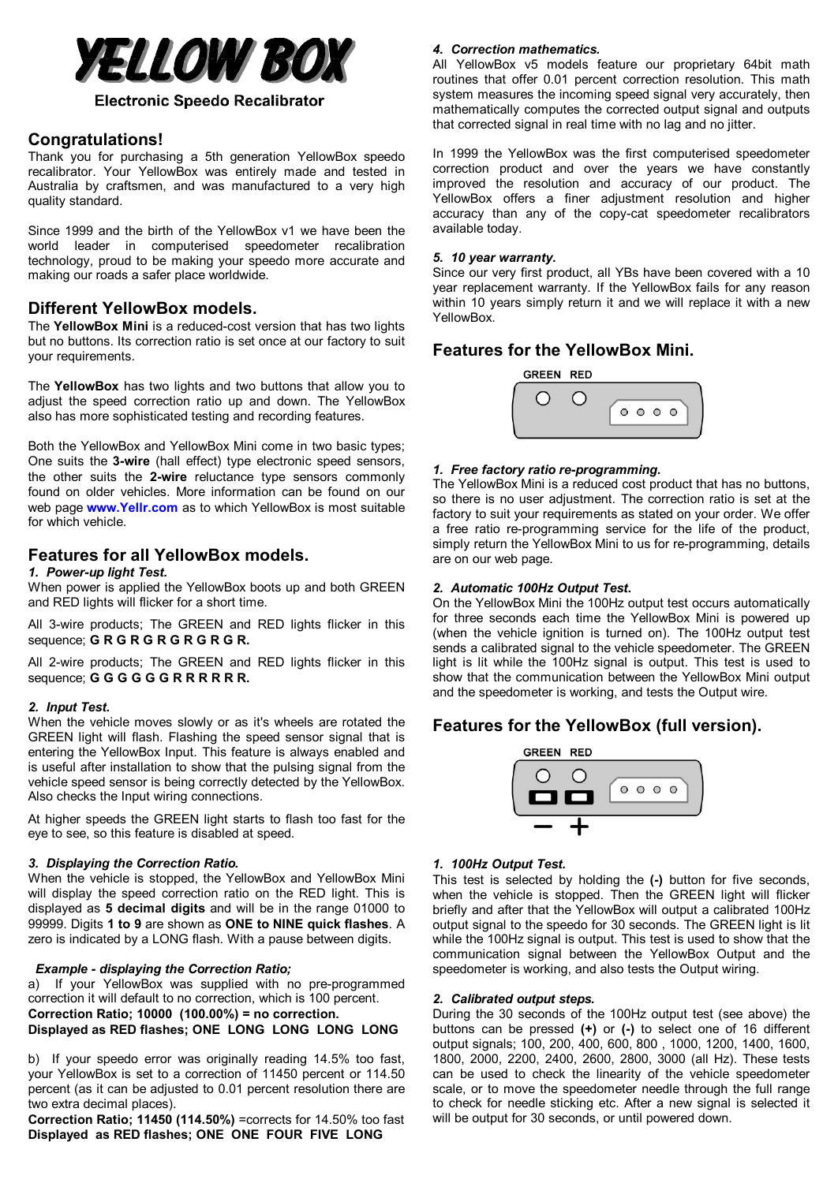

## **Electronic Speedo Recalibrator**

# **Congratulations!**

Thank you for purchasing a 5th generation YellowBox speedo recalibrator. Your YellowBox was entirely made and tested in Australia by craftsmen, and was manufactured to a very high quality standard.

Since 1999 and the birth of the YellowBox v1 we have been the world leader in computerised speedometer recalibration technology, proud to be making your speedo more accurate and making our roads a safer place worldwide.

# **Different YellowBox models.**

The **YellowBox Mini** is a reduced-cost version that has two lights but no buttons. Its correction ratio is set once at our factory to suit your requirements.

The **YellowBox** has two lights and two buttons that allow you to adjust the speed correction ratio up and down. The YellowBox also has more sophisticated testing and recording features.

Both the YellowBox and YellowBox Mini come in two basic types; One suits the **3-wire** (hall effect) type electronic speed sensors, the other suits the **2-wire** reluctance type sensors commonly found on older vehicles. More information can be found on our web page **[www.Yellr.com](http://www.Yellr.com)** as to which YellowBox is most suitable for which vehicle.

# **Features for all YellowBox models.**

#### *1. Power-up light Test.*

When power is applied the YellowBox boots up and both GREEN and RED lights will flicker for a short time.

All 3-wire products; The GREEN and RED lights flicker in this sequence; **G R G R G R G R G R G R.**

All 2-wire products; The GREEN and RED lights flicker in this sequence; **G G G G G G R R R R R R.**

#### *2. Input Test.*

When the vehicle moves slowly or as it's wheels are rotated the GREEN light will flash. Flashing the speed sensor signal that is entering the YellowBox Input. This feature is always enabled and is useful after installation to show that the pulsing signal from the vehicle speed sensor is being correctly detected by the YellowBox. Also checks the Input wiring connections.

At higher speeds the GREEN light starts to flash too fast for the eye to see, so this feature is disabled at speed.

#### *3. Displaying the Correction Ratio.*

When the vehicle is stopped, the YellowBox and YellowBox Mini will display the speed correction ratio on the RED light. This is displayed as **5 decimal digits** and will be in the range 01000 to 99999. Digits **1 to 9** are shown as **ONE to NINE quick flashes**. A zero is indicated by a LONG flash. With a pause between digits.

#### *Example - displaying the Correction Ratio;*

a) If your YellowBox was supplied with no pre-programmed correction it will default to no correction, which is 100 percent. **Correction Ratio; 10000 (100.00%) = no correction. Displayed as RED flashes; ONE LONG LONG LONG LONG**

b) If your speedo error was originally reading 14.5% too fast, your YellowBox is set to a correction of 11450 percent or 114.50 percent (as it can be adjusted to 0.01 percent resolution there are two extra decimal places).

**Correction Ratio; 11450 (114.50%)** =corrects for 14.50% too fast **Displayed as RED flashes; ONE ONE FOUR FIVE LONG**

# *4. Correction mathematics.*

All YellowBox v5 models feature our proprietary 64bit math routines that offer 0.01 percent correction resolution. This math system measures the incoming speed signal very accurately, then mathematically computes the corrected output signal and outputs that corrected signal in real time with no lag and no jitter.

In 1999 the YellowBox was the first computerised speedometer correction product and over the years we have constantly improved the resolution and accuracy of our product. The YellowBox offers a finer adjustment resolution and higher accuracy than any of the copy-cat speedometer recalibrators available today.

#### *5. 10 year warranty.*

Since our very first product, all YBs have been covered with a 10 year replacement warranty. If the YellowBox fails for any reason within 10 years simply return it and we will replace it with a new YellowBox<sup>-</sup>

# **Features for the YellowBox Mini.**



#### *1. Free factory ratio re-programming.*

The YellowBox Mini is a reduced cost product that has no buttons, so there is no user adjustment. The correction ratio is set at the factory to suit your requirements as stated on your order. We offer a free ratio re-programming service for the life of the product, simply return the YellowBox Mini to us for re-programming, details are on our web page.

#### *2. Automatic 100Hz Output Test.*

On the YellowBox Mini the 100Hz output test occurs automatically for three seconds each time the YellowBox Mini is powered up (when the vehicle ignition is turned on). The 100Hz output test sends a calibrated signal to the vehicle speedometer. The GREEN light is lit while the 100Hz signal is output. This test is used to show that the communication between the YellowBox Mini output and the speedometer is working, and tests the Output wire.

# **Features for the YellowBox (full version).**



#### *1. 100Hz Output Test.*

This test is selected by holding the **(-)** button for five seconds, when the vehicle is stopped. Then the GREEN light will flicker briefly and after that the YellowBox will output a calibrated 100Hz output signal to the speedo for 30 seconds. The GREEN light is lit while the 100Hz signal is output. This test is used to show that the communication signal between the YellowBox Output and the speedometer is working, and also tests the Output wiring.

#### *2. Calibrated output steps.*

During the 30 seconds of the 100Hz output test (see above) the buttons can be pressed **(+)** or **(-)** to select one of 16 different output signals; 100, 200, 400, 600, 800 , 1000, 1200, 1400, 1600, 1800, 2000, 2200, 2400, 2600, 2800, 3000 (all Hz). These tests can be used to check the linearity of the vehicle speedometer scale, or to move the speedometer needle through the full range to check for needle sticking etc. After a new signal is selected it will be output for 30 seconds, or until powered down.